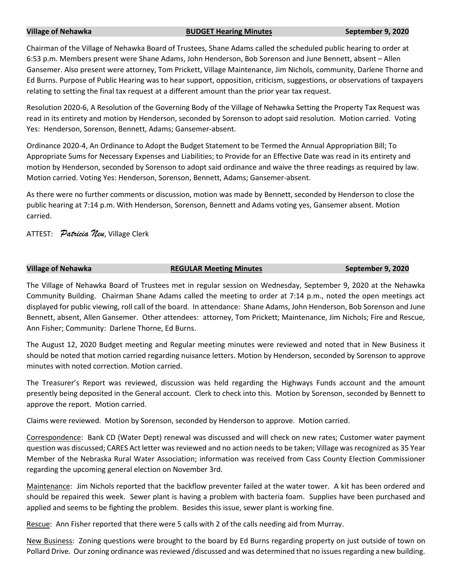### **Village of Nehawka BUDGET Hearing Minutes September 9, 2020**

Chairman of the Village of Nehawka Board of Trustees, Shane Adams called the scheduled public hearing to order at 6:53 p.m. Members present were Shane Adams, John Henderson, Bob Sorenson and June Bennett, absent – Allen Gansemer. Also present were attorney, Tom Prickett, Village Maintenance, Jim Nichols, community, Darlene Thorne and Ed Burns. Purpose of Public Hearing was to hear support, opposition, criticism, suggestions, or observations of taxpayers relating to setting the final tax request at a different amount than the prior year tax request.

Resolution 2020-6, A Resolution of the Governing Body of the Village of Nehawka Setting the Property Tax Request was read in its entirety and motion by Henderson, seconded by Sorenson to adopt said resolution. Motion carried. Voting Yes: Henderson, Sorenson, Bennett, Adams; Gansemer-absent.

Ordinance 2020-4, An Ordinance to Adopt the Budget Statement to be Termed the Annual Appropriation Bill; To Appropriate Sums for Necessary Expenses and Liabilities; to Provide for an Effective Date was read in its entirety and motion by Henderson, seconded by Sorenson to adopt said ordinance and waive the three readings as required by law. Motion carried. Voting Yes: Henderson, Sorenson, Bennett, Adams; Gansemer-absent.

As there were no further comments or discussion, motion was made by Bennett, seconded by Henderson to close the public hearing at 7:14 p.m. With Henderson, Sorenson, Bennett and Adams voting yes, Gansemer absent. Motion carried.

ATTEST: *Patricia Neu*, Village Clerk

# **Village of Nehawka REGULAR Meeting Minutes September 9, 2020**

The Village of Nehawka Board of Trustees met in regular session on Wednesday, September 9, 2020 at the Nehawka Community Building. Chairman Shane Adams called the meeting to order at 7:14 p.m., noted the open meetings act displayed for public viewing, roll call of the board. In attendance: Shane Adams, John Henderson, Bob Sorenson and June Bennett, absent, Allen Gansemer. Other attendees: attorney, Tom Prickett; Maintenance, Jim Nichols; Fire and Rescue, Ann Fisher; Community: Darlene Thorne, Ed Burns.

The August 12, 2020 Budget meeting and Regular meeting minutes were reviewed and noted that in New Business it should be noted that motion carried regarding nuisance letters. Motion by Henderson, seconded by Sorenson to approve minutes with noted correction. Motion carried.

The Treasurer's Report was reviewed, discussion was held regarding the Highways Funds account and the amount presently being deposited in the General account. Clerk to check into this. Motion by Sorenson, seconded by Bennett to approve the report. Motion carried.

Claims were reviewed. Motion by Sorenson, seconded by Henderson to approve. Motion carried.

Correspondence: Bank CD (Water Dept) renewal was discussed and will check on new rates; Customer water payment question was discussed; CARES Act letter was reviewed and no action needs to be taken; Village was recognized as 35 Year Member of the Nebraska Rural Water Association; information was received from Cass County Election Commissioner regarding the upcoming general election on November 3rd.

Maintenance: Jim Nichols reported that the backflow preventer failed at the water tower. A kit has been ordered and should be repaired this week. Sewer plant is having a problem with bacteria foam. Supplies have been purchased and applied and seems to be fighting the problem. Besides this issue, sewer plant is working fine.

Rescue: Ann Fisher reported that there were 5 calls with 2 of the calls needing aid from Murray.

New Business: Zoning questions were brought to the board by Ed Burns regarding property on just outside of town on Pollard Drive. Our zoning ordinance was reviewed /discussed and was determined that no issues regarding a new building.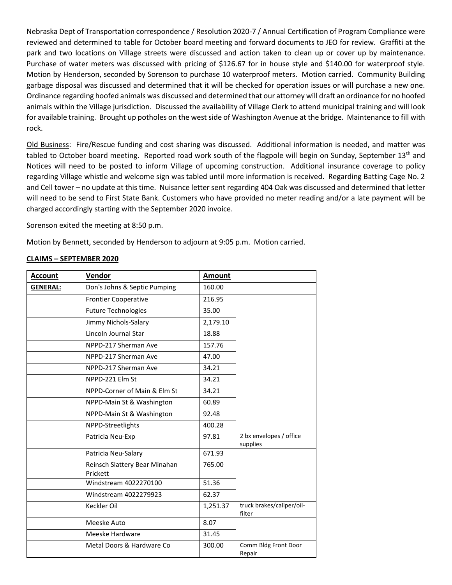Nebraska Dept of Transportation correspondence / Resolution 2020-7 / Annual Certification of Program Compliance were reviewed and determined to table for October board meeting and forward documents to JEO for review. Graffiti at the park and two locations on Village streets were discussed and action taken to clean up or cover up by maintenance. Purchase of water meters was discussed with pricing of \$126.67 for in house style and \$140.00 for waterproof style. Motion by Henderson, seconded by Sorenson to purchase 10 waterproof meters. Motion carried. Community Building garbage disposal was discussed and determined that it will be checked for operation issues or will purchase a new one. Ordinance regarding hoofed animals was discussed and determined that our attorney will draft an ordinance for no hoofed animals within the Village jurisdiction. Discussed the availability of Village Clerk to attend municipal training and will look for available training. Brought up potholes on the west side of Washington Avenue at the bridge. Maintenance to fill with rock.

Old Business: Fire/Rescue funding and cost sharing was discussed. Additional information is needed, and matter was tabled to October board meeting. Reported road work south of the flagpole will begin on Sunday, September 13<sup>th</sup> and Notices will need to be posted to inform Village of upcoming construction. Additional insurance coverage to policy regarding Village whistle and welcome sign was tabled until more information is received. Regarding Batting Cage No. 2 and Cell tower – no update at this time. Nuisance letter sent regarding 404 Oak was discussed and determined that letter will need to be send to First State Bank. Customers who have provided no meter reading and/or a late payment will be charged accordingly starting with the September 2020 invoice.

Sorenson exited the meeting at 8:50 p.m.

Motion by Bennett, seconded by Henderson to adjourn at 9:05 p.m. Motion carried.

## **CLAIMS – SEPTEMBER 2020**

| <b>Account</b>  | Vendor                                    | <b>Amount</b> |                                     |
|-----------------|-------------------------------------------|---------------|-------------------------------------|
| <b>GENERAL:</b> | Don's Johns & Septic Pumping              | 160.00        |                                     |
|                 | <b>Frontier Cooperative</b>               | 216.95        |                                     |
|                 | <b>Future Technologies</b>                | 35.00         |                                     |
|                 | Jimmy Nichols-Salary                      | 2,179.10      |                                     |
|                 | Lincoln Journal Star                      | 18.88         |                                     |
|                 | NPPD-217 Sherman Ave                      | 157.76        |                                     |
|                 | NPPD-217 Sherman Ave                      | 47.00         |                                     |
|                 | NPPD-217 Sherman Ave                      | 34.21         |                                     |
|                 | NPPD-221 Elm St                           | 34.21         |                                     |
|                 | NPPD-Corner of Main & Elm St              | 34.21         |                                     |
|                 | NPPD-Main St & Washington                 | 60.89         |                                     |
|                 | NPPD-Main St & Washington                 | 92.48         |                                     |
|                 | NPPD-Streetlights                         | 400.28        |                                     |
|                 | Patricia Neu-Exp                          | 97.81         | 2 bx envelopes / office<br>supplies |
|                 | Patricia Neu-Salary                       | 671.93        |                                     |
|                 | Reinsch Slattery Bear Minahan<br>Prickett | 765.00        |                                     |
|                 | Windstream 4022270100                     | 51.36         |                                     |
|                 | Windstream 4022279923                     | 62.37         |                                     |
|                 | Keckler Oil                               | 1,251.37      | truck brakes/caliper/oil-<br>filter |
|                 | Meeske Auto                               | 8.07          |                                     |
|                 | Meeske Hardware                           | 31.45         |                                     |
|                 | Metal Doors & Hardware Co                 | 300.00        | Comm Bldg Front Door<br>Repair      |